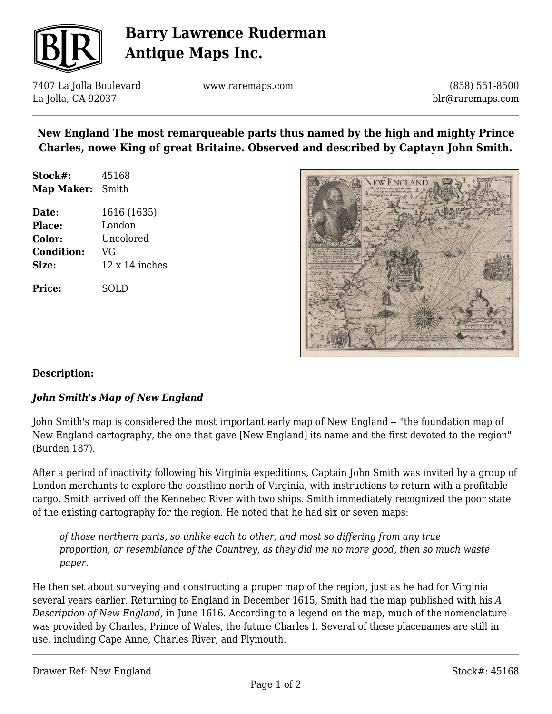

# **Barry Lawrence Ruderman Antique Maps Inc.**

7407 La Jolla Boulevard La Jolla, CA 92037

www.raremaps.com

(858) 551-8500 blr@raremaps.com

## **New England The most remarqueable parts thus named by the high and mighty Prince Charles, nowe King of great Britaine. Observed and described by Captayn John Smith.**

| Stock#:                 | 45168 |
|-------------------------|-------|
| <b>Map Maker:</b> Smith |       |

**Date:** 1616 (1635) **Place:** London **Color:** Uncolored **Condition:** VG **Size:** 12 x 14 inches

**Price:** SOLD



#### **Description:**

#### *John Smith's Map of New England*

John Smith's map is considered the most important early map of New England -- "the foundation map of New England cartography, the one that gave [New England] its name and the first devoted to the region" (Burden 187).

After a period of inactivity following his Virginia expeditions, Captain John Smith was invited by a group of London merchants to explore the coastline north of Virginia, with instructions to return with a profitable cargo. Smith arrived off the Kennebec River with two ships. Smith immediately recognized the poor state of the existing cartography for the region. He noted that he had six or seven maps:

*of those northern parts, so unlike each to other, and most so differing from any true proportion, or resemblance of the Countrey, as they did me no more good, then so much waste paper.*

He then set about surveying and constructing a proper map of the region, just as he had for Virginia several years earlier. Returning to England in December 1615, Smith had the map published with his *A Description of New England,* in June 1616. According to a legend on the map, much of the nomenclature was provided by Charles, Prince of Wales, the future Charles I. Several of these placenames are still in use, including Cape Anne, Charles River, and Plymouth.